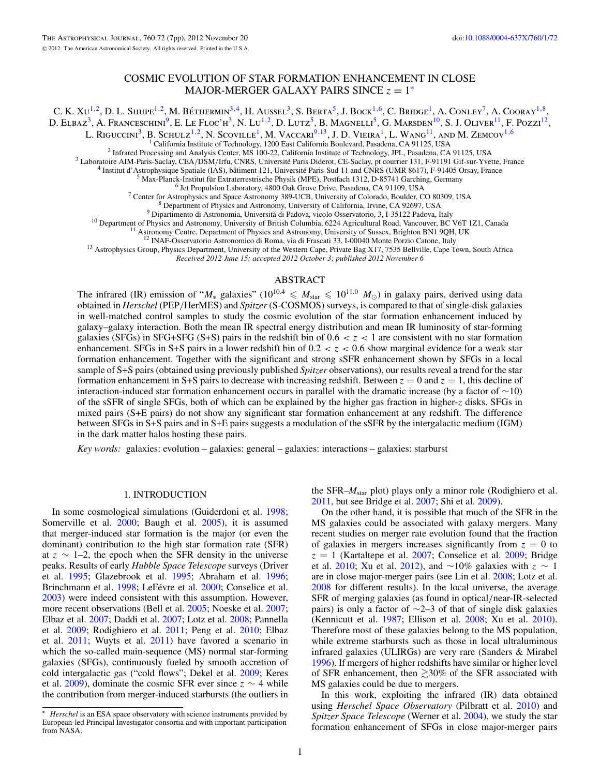# COSMIC EVOLUTION OF STAR FORMATION ENHANCEMENT IN CLOSE MAJOR-MERGER GALAXY PAIRS SINCE  $z = 1^*$

C. K. Xu<sup>1,2</sup>, D. L. Shupe<sup>1,2</sup>, M. Béthermin<sup>3,4</sup>, H. Aussel<sup>3</sup>, S. Berta<sup>5</sup>, J. Bock<sup>1,6</sup>, C. Bridge<sup>1</sup>, A. Conley<sup>7</sup>, A. Cooray<sup>1,8</sup>, D. Elbaz<sup>3</sup>, A. Franceschini<sup>9</sup>, E. Le Floc'h<sup>3</sup>, N. Lu<sup>1,2</sup>, D. Lutz<sup>5</sup>, B. Magnelli<sup>5</sup>, G. Marsden<sup>10</sup>, S. J. Oliver<sup>11</sup>, F. Pozzi<sup>12</sup>,

L. Riguccini3, B. Schulz1*,*2, N. Scoville1, M. Vaccari9*,*13, J. D. Vieira1, L. Wang11, and M. Zemcov1*,*<sup>6</sup>

<sup>1</sup> California Institute of Technology, 1200 East California Boulevard, Pasadena, CA 91125, USA<br>
<sup>3</sup> Infrared Processing and Analysis Center, MS 100-22, California Institute of Technology, JPL, Pasadena, CA 91125, USA<br>
<sup>3</sup>

<sup>11</sup> Astronomy Centre, Department of Physics and Astronomy, University of Sussex, Brighton BN1 9QH, UK<br><sup>12</sup> INAF-Osservatorio Astronomico di Roma, via di Frascati 33, I-00040 Monte Porzio Catone, Italy<br><sup>13</sup> Astrophysics Gr

*Received 2012 June 15; accepted 2012 October 3; published 2012 November 6*

# ABSTRACT

The infrared (IR) emission of " $M_*$  galaxies" ( $10^{10.4} \leq M_{\text{star}} \leq 10^{11.0}$   $M_{\odot}$ ) in galaxy pairs, derived using data obtained in *Herschel* (PEP*/*HerMES) and *Spitzer* (S-COSMOS) surveys, is compared to that of single-disk galaxies in well-matched control samples to study the cosmic evolution of the star formation enhancement induced by galaxy–galaxy interaction. Both the mean IR spectral energy distribution and mean IR luminosity of star-forming galaxies (SFGs) in SFG+SFG (S+S) pairs in the redshift bin of  $0.6 < z < 1$  are consistent with no star formation enhancement. SFGs in S+S pairs in a lower redshift bin of  $0.2 < z < 0.6$  show marginal evidence for a weak star formation enhancement. Together with the significant and strong sSFR enhancement shown by SFGs in a local sample of S+S pairs (obtained using previously published *Spitzer* observations), our results reveal a trend for the star formation enhancement in S+S pairs to decrease with increasing redshift. Between  $z = 0$  and  $z = 1$ , this decline of interaction-induced star formation enhancement occurs in parallel with the dramatic increase (by a factor of ∼10) of the sSFR of single SFGs, both of which can be explained by the higher gas fraction in higher-*z* disks. SFGs in mixed pairs (S+E pairs) do not show any significant star formation enhancement at any redshift. The difference between SFGs in S+S pairs and in S+E pairs suggests a modulation of the sSFR by the intergalactic medium (IGM) in the dark matter halos hosting these pairs.

*Key words:* galaxies: evolution – galaxies: general – galaxies: interactions – galaxies: starburst

### 1. INTRODUCTION

In some cosmological simulations (Guiderdoni et al. [1998;](#page-6-0) Somerville et al. [2000;](#page-6-0) Baugh et al. [2005\)](#page-6-0), it is assumed that merger-induced star formation is the major (or even the dominant) contribution to the high star formation rate (SFR) at  $z$  ∼ 1–2, the epoch when the SFR density in the universe peaks. Results of early *Hubble Space Telescope* surveys (Driver et al. [1995;](#page-6-0) Glazebrook et al. [1995;](#page-6-0) Abraham et al. [1996;](#page-6-0) Brinchmann et al. [1998;](#page-6-0) LeFévre et al. [2000;](#page-6-0) Conselice et al. [2003\)](#page-6-0) were indeed consistent with this assumption. However, more recent observations (Bell et al. [2005;](#page-6-0) Noeske et al. [2007;](#page-6-0) Elbaz et al. [2007;](#page-6-0) Daddi et al. [2007;](#page-6-0) Lotz et al. [2008;](#page-6-0) Pannella et al. [2009;](#page-6-0) Rodighiero et al. [2011;](#page-6-0) Peng et al. [2010;](#page-6-0) Elbaz et al. [2011;](#page-6-0) Wuyts et al. [2011\)](#page-6-0) have favored a scenario in which the so-called main-sequence (MS) normal star-forming galaxies (SFGs), continuously fueled by smooth accretion of cold intergalactic gas ("cold flows"; Dekel et al. [2009;](#page-6-0) Keres et al. [2009\)](#page-6-0), dominate the cosmic SFR ever since  $z \sim 4$  while the contribution from merger-induced starbursts (the outliers in the SFR–*M*star plot) plays only a minor role (Rodighiero et al. [2011,](#page-6-0) but see Bridge et al. [2007;](#page-6-0) Shi et al. [2009\)](#page-6-0).

On the other hand, it is possible that much of the SFR in the MS galaxies could be associated with galaxy mergers. Many recent studies on merger rate evolution found that the fraction of galaxies in mergers increases significantly from  $z = 0$  to  $z = 1$  (Kartaltepe et al. [2007;](#page-6-0) Conselice et al. [2009;](#page-6-0) Bridge et al. [2010;](#page-6-0) Xu et al. [2012\)](#page-6-0), and ∼10% galaxies with *z* ∼ 1 are in close major-merger pairs (see Lin et al. [2008;](#page-6-0) Lotz et al. [2008](#page-6-0) for different results). In the local universe, the average SFR of merging galaxies (as found in optical*/*near-IR-selected pairs) is only a factor of ∼2–3 of that of single disk galaxies (Kennicutt et al. [1987;](#page-6-0) Ellison et al. [2008;](#page-6-0) Xu et al. [2010\)](#page-6-0). Therefore most of these galaxies belong to the MS population, while extreme starbursts such as those in local ultraluminous infrared galaxies (ULIRGs) are very rare (Sanders & Mirabel [1996\)](#page-6-0). If mergers of higher redshifts have similar or higher level of SFR enhancement, then  $\gtrsim$  30% of the SFR associated with MS galaxies could be due to mergers.

In this work, exploiting the infrared (IR) data obtained using *Herschel Space Observatory* (Pilbratt et al. [2010\)](#page-6-0) and *Spitzer Space Telescope* (Werner et al. [2004\)](#page-6-0), we study the star formation enhancement of SFGs in close major-merger pairs

<sup>∗</sup> *Herschel* is an ESA space observatory with science instruments provided by European-led Principal Investigator consortia and with important participation from NASA.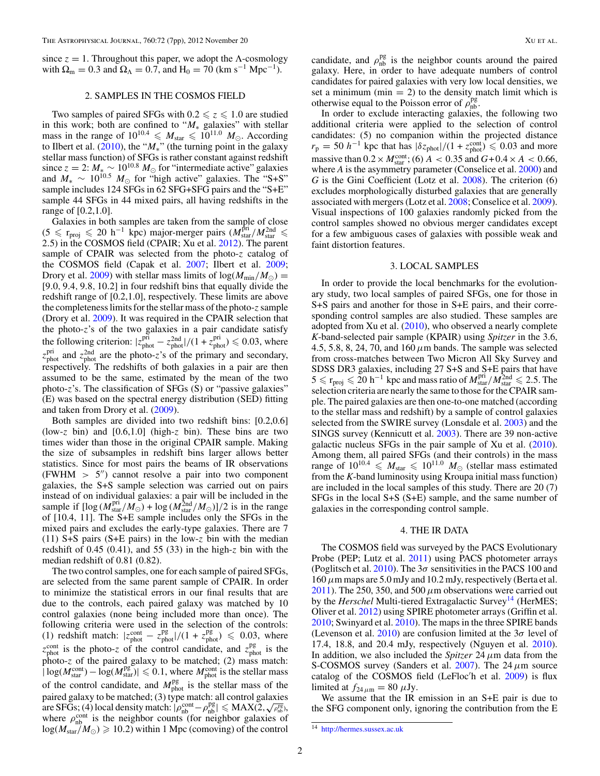<span id="page-1-0"></span>since  $z = 1$ . Throughout this paper, we adopt the  $\Lambda$ -cosmology with  $\Omega_{\rm m} = 0.3$  and  $\Omega_{\Lambda} = 0.7$ , and  $H_0 = 70$  (km s<sup>-1</sup> Mpc<sup>-1</sup>).

## 2. SAMPLES IN THE COSMOS FIELD

Two samples of paired SFGs with  $0.2 \le z \le 1.0$  are studied in this work; both are confined to " $M_*$  galaxies" with stellar mass in the range of  $10^{10.4} \leq M_{\text{star}} \leq 10^{11.0} M_{\odot}$ . According to Ilbert et al. [\(2010\)](#page-6-0), the "*M*∗" (the turning point in the galaxy stellar mass function) of SFGs is rather constant against redshift since  $z = 2$ :  $M_* \sim 10^{10.8} M_{\odot}$  for "intermediate active" galaxies and  $M_* \sim 10^{10.5} M_\odot$  for "high active" galaxies. The "S+S" sample includes 124 SFGs in 62 SFG+SFG pairs and the "S+E" sample 44 SFGs in 44 mixed pairs, all having redshifts in the range of [0.2,1.0].

Galaxies in both samples are taken from the sample of close (5 ≤  $r_{\text{proj}}$  ≤ 20 h<sup>-1</sup> kpc) major-merger pairs ( $M_{\text{star}}^{\text{pri}}/M_{\text{star}}^{\text{2nd}}$  ≤ 2.5) in the COSMOS field (CPAIR; Xu et al. [2012\)](#page-6-0). The parent sample of CPAIR was selected from the photo-*z* catalog of the COSMOS field (Capak et al. [2007;](#page-6-0) Ilbert et al. [2009;](#page-6-0) Drory et al. [2009\)](#page-6-0) with stellar mass limits of  $log(M_{min}/M_{\odot})$  = [9*.*0*,* 9*.*4*,* 9*.*8*,* 10*.*2] in four redshift bins that equally divide the redshift range of [0.2,1.0], respectively. These limits are above the completeness limits for the stellar mass of the photo-*z* sample (Drory et al. [2009\)](#page-6-0). It was required in the CPAIR selection that the photo-*z*'s of the two galaxies in a pair candidate satisfy the following criterion:  $|z_{phot}^{pri} - z_{phot}^{2nd}|/(1 + z_{phot}^{pri}) \le 0.03$ , where  $z_{\text{phot}}^{\text{pri}}$  and  $z_{\text{phot}}^{\text{2nd}}$  are the photo-*z*'s of the primary and secondary, respectively. The redshifts of both galaxies in a pair are then assumed to be the same, estimated by the mean of the two photo-*z*'s. The classification of SFGs (S) or "passive galaxies" (E) was based on the spectral energy distribution (SED) fitting and taken from Drory et al. [\(2009\)](#page-6-0).

Both samples are divided into two redshift bins: [0.2,0.6] (low-*z* bin) and [0.6,1.0] (high-*z* bin). These bins are two times wider than those in the original CPAIR sample. Making the size of subsamples in redshift bins larger allows better statistics. Since for most pairs the beams of IR observations (FWHM  $> 5$ ") cannot resolve a pair into two component galaxies, the S+S sample selection was carried out on pairs instead of on individual galaxies: a pair will be included in the sample if  $[\log (M_{\text{star}}^{\text{pri}}/M_{\odot}) + \log (M_{\text{star}}^{\text{2nd}}/M_{\odot})]/2$  is in the range of [10.4, 11]. The S+E sample includes only the SFGs in the mixed pairs and excludes the early-type galaxies. There are 7 (11) S+S pairs (S+E pairs) in the low-*z* bin with the median redshift of 0.45 (0.41), and 55 (33) in the high-*z* bin with the median redshift of 0.81 (0.82).

The two control samples, one for each sample of paired SFGs, are selected from the same parent sample of CPAIR. In order to minimize the statistical errors in our final results that are due to the controls, each paired galaxy was matched by 10 control galaxies (none being included more than once). The following criteria were used in the selection of the controls: (1) redshift match:  $|z_{\text{phot}}^{\text{cont}} - z_{\text{phot}}^{\text{pg}}|/(1 + z_{\text{phot}}^{\text{pg}}) \le 0.03$ , where  $z_{\text{phot}}^{\text{cont}}$  is the photo-*z* of the control candidate, and  $z_{\text{phot}}^{\text{pg}}$  is the photo-*z* of the paired galaxy to be matched; (2) mass match:  $|\log(M_{\text{star}}^{\text{cont}}) - \log(M_{\text{star}}^{\text{pg}})| \leq 0.1$ , where  $M_{\text{phot}}^{\text{cont}}$  is the stellar mass of the control candidate, and  $M_{\text{phot}}^{\text{pg}}$  is the stellar mass of the paired galaxy to be matched; (3) type match: all control galaxies are SFGs; (4) local density match:  $|\rho_{\text{nb}}^{\text{cont}} - \rho_{\text{nb}}^{\text{pg}}| \leq MAX(2, \sqrt{\rho_{\text{nb}}^{\text{pg}}})$ where  $\rho_{\rm nb}^{\rm cont}$  is the neighbor counts (for neighbor galaxies of  $log(M_{star}/M_{\odot}) \ge 10.2$ ) within 1 Mpc (comoving) of the control

candidate, and  $\rho_{\rm nb}^{\rm pg}$  is the neighbor counts around the paired galaxy. Here, in order to have adequate numbers of control candidates for paired galaxies with very low local densities, we set a minimum (min  $= 2$ ) to the density match limit which is otherwise equal to the Poisson error of  $\rho_{\rm nb}^{\rm pg}$ .

In order to exclude interacting galaxies, the following two additional criteria were applied to the selection of control candidates: (5) no companion within the projected distance  $r_p = 50$  *h*<sup>−1</sup> kpc that has  $|\delta z_{phot}|/(1 + z_{phot}^{cont}) \le 0.03$  and more massive than  $0.2 \times M_{\text{star}}^{\text{cont}}$ ; (6)  $A < 0.35$  and  $G + 0.4 \times A < 0.66$ , where *A* is the asymmetry parameter (Conselice et al. [2000\)](#page-6-0) and *G* is the Gini Coefficient (Lotz et al. [2008\)](#page-6-0). The criterion (6) excludes morphologically disturbed galaxies that are generally associated with mergers (Lotz et al. [2008;](#page-6-0) Conselice et al. [2009\)](#page-6-0). Visual inspections of 100 galaxies randomly picked from the control samples showed no obvious merger candidates except for a few ambiguous cases of galaxies with possible weak and faint distortion features.

## 3. LOCAL SAMPLES

In order to provide the local benchmarks for the evolutionary study, two local samples of paired SFGs, one for those in S+S pairs and another for those in S+E pairs, and their corresponding control samples are also studied. These samples are adopted from Xu et al. [\(2010\)](#page-6-0), who observed a nearly complete *K*-band-selected pair sample (KPAIR) using *Spitzer* in the 3.6, 4.5, 5.8, 8, 24, 70, and 160  $\mu$ m bands. The sample was selected from cross-matches between Two Micron All Sky Survey and SDSS DR3 galaxies, including 27 S+S and S+E pairs that have  $5 \leqslant r_{\text{proj}} \leqslant 20 \ \rm h^{-1}$  kpc and mass ratio of  $M_{\rm star}^{\rm pri}/M_{\rm star}^{2nd} \leqslant 2.5$ . The selection criteria are nearly the same to those for the CPAIR sample. The paired galaxies are then one-to-one matched (according to the stellar mass and redshift) by a sample of control galaxies selected from the SWIRE survey (Lonsdale et al. [2003\)](#page-6-0) and the SINGS survey (Kennicutt et al. [2003\)](#page-6-0). There are 39 non-active galactic nucleus SFGs in the pair sample of Xu et al. [\(2010\)](#page-6-0). Among them, all paired SFGs (and their controls) in the mass range of  $10^{10.4} \leqslant M_{\text{star}} \leqslant 10^{11.0} M_{\odot}$  (stellar mass estimated from the *K*-band luminosity using Kroupa initial mass function) are included in the local samples of this study. There are 20 (7) SFGs in the local S+S (S+E) sample, and the same number of galaxies in the corresponding control sample.

#### 4. THE IR DATA

The COSMOS field was surveyed by the PACS Evolutionary Probe (PEP; Lutz et al. [2011\)](#page-6-0) using PACS photometer arrays (Poglitsch et al. [2010\)](#page-6-0). The 3*σ* sensitivities in the PACS 100 and 160*μ*m maps are 5.0 mJy and 10.2 mJy, respectively (Berta et al. [2011\)](#page-6-0). The 250, 350, and 500  $\mu$ m observations were carried out by the *Herschel* Multi-tiered Extragalactic Survey<sup>14</sup> (HerMES; Oliver et al. [2012\)](#page-6-0) using SPIRE photometer arrays (Griffin et al. [2010;](#page-6-0) Swinyard et al. [2010\)](#page-6-0). The maps in the three SPIRE bands (Levenson et al. [2010\)](#page-6-0) are confusion limited at the 3*σ* level of 17.4, 18.8, and 20.4 mJy, respectively (Nguyen et al. [2010\)](#page-6-0). In addition, we also included the *Spitzer* 24*μ*m data from the S-COSMOS survey (Sanders et al. [2007\)](#page-6-0). The 24*μ*m source catalog of the COSMOS field (LeFloc h et al. [2009\)](#page-6-0) is flux limited at  $f_{24\,\mu\text{m}} = 80 \,\mu\text{Jy}$ .

We assume that the IR emission in an S+E pair is due to the SFG component only, ignoring the contribution from the E

 $\overline{14}$  <http://hermes.sussex.ac.uk>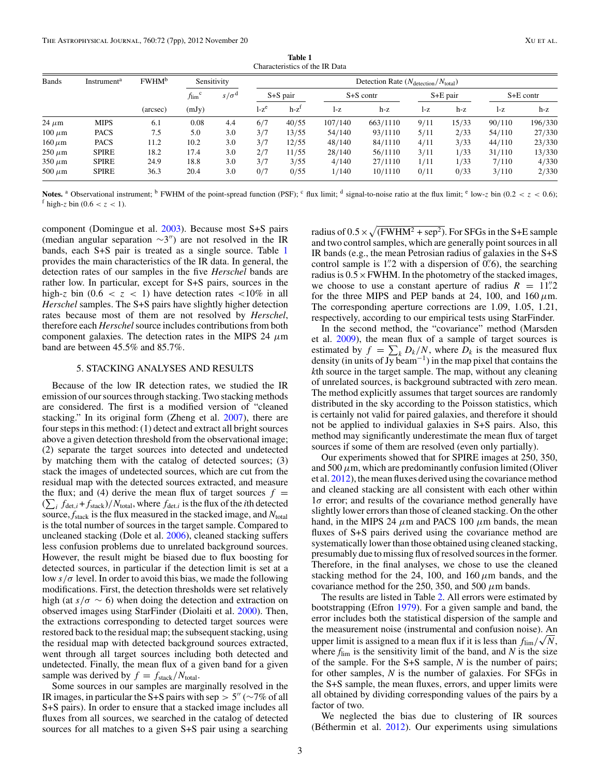| <b>Bands</b>  | Instrument <sup>a</sup> | <b>FWHM</b> <sup>b</sup><br>(arcsec) | Sensitivity                          |                    | Detection Rate $(N_{\text{detection}}/N_{\text{total}})$ |         |               |          |            |       |             |         |
|---------------|-------------------------|--------------------------------------|--------------------------------------|--------------------|----------------------------------------------------------|---------|---------------|----------|------------|-------|-------------|---------|
|               |                         |                                      | $f_{\text{lim}}^{\text{c}}$<br>(mJy) | $s/\sigma^{\rm d}$ | $S + S$ pair                                             |         | $S + S$ contr |          | $S+E$ pair |       | $S+E$ contr |         |
|               |                         |                                      |                                      |                    | $1-z^e$                                                  | $h-z^t$ | $1-Z$         | h-z      | $1-z$      | h-z   | l-z         | $h-z$   |
| $24 \mu m$    | <b>MIPS</b>             | 6.1                                  | 0.08                                 | 4.4                | 6/7                                                      | 40/55   | 107/140       | 663/1110 | 9/11       | 15/33 | 90/110      | 196/330 |
| $100 \ \mu m$ | <b>PACS</b>             | 7.5                                  | 5.0                                  | 3.0                | 3/7                                                      | 13/55   | 54/140        | 93/1110  | 5/11       | 2/33  | 54/110      | 27/330  |
| $160 \,\mu m$ | <b>PACS</b>             | 11.2                                 | 10.2                                 | 3.0                | 3/7                                                      | 12/55   | 48/140        | 84/1110  | 4/11       | 3/33  | 44/110      | 23/330  |
| $250 \ \mu m$ | <b>SPIRE</b>            | 18.2                                 | 17.4                                 | 3.0                | 2/7                                                      | 11/55   | 28/140        | 56/1110  | 3/11       | 1/33  | 31/110      | 13/330  |
| $350 \ \mu m$ | <b>SPIRE</b>            | 24.9                                 | 18.8                                 | 3.0                | 3/7                                                      | 3/55    | 4/140         | 27/1110  | 1/11       | 1/33  | 7/110       | 4/330   |
| 500 $\mu$ m   | <b>SPIRE</b>            | 36.3                                 | 20.4                                 | 3.0                | 0/7                                                      | 0/55    | 1/140         | 10/1110  | 0/11       | 0/33  | 3/110       | 2/330   |

**Table 1** Characteristics of the IR Data

Notes.<sup>a</sup> Observational instrument; <sup>b</sup> FWHM of the point-spread function (PSF); <sup>c</sup> flux limit; <sup>d</sup> signal-to-noise ratio at the flux limit; <sup>e</sup> low-*z* bin (0.2 < *z* < 0.6);  $f$  high-*z* bin (0.6 < *z* < 1).

component (Domingue et al. [2003\)](#page-6-0). Because most S+S pairs (median angular separation  $\sim$ 3") are not resolved in the IR bands, each S+S pair is treated as a single source. Table 1 provides the main characteristics of the IR data. In general, the detection rates of our samples in the five *Herschel* bands are rather low. In particular, except for S+S pairs, sources in the high-*z* bin (0.6  $\lt$  *z*  $\lt$  1) have detection rates  $\lt$ 10% in all *Herschel* samples. The S+S pairs have slightly higher detection rates because most of them are not resolved by *Herschel*, therefore each *Herschel* source includes contributions from both component galaxies. The detection rates in the MIPS 24 *μ*m band are between 45.5% and 85.7%.

### 5. STACKING ANALYSES AND RESULTS

Because of the low IR detection rates, we studied the IR emission of our sources through stacking. Two stacking methods are considered. The first is a modified version of "cleaned stacking." In its original form (Zheng et al. [2007\)](#page-6-0), there are four steps in this method: (1) detect and extract all bright sources above a given detection threshold from the observational image; (2) separate the target sources into detected and undetected by matching them with the catalog of detected sources; (3) stack the images of undetected sources, which are cut from the residual map with the detected sources extracted, and measure the flux; and (4) derive the mean flux of target sources  $f =$  $(\sum_i f_{\text{det},i} + f_{\text{stack}})/N_{\text{total}}$ , where  $f_{\text{det},i}$  is the flux of the *i*th detected source,  $f_{\text{stack}}$  is the flux measured in the stacked image, and  $N_{\text{total}}$ is the total number of sources in the target sample. Compared to uncleaned stacking (Dole et al. [2006\)](#page-6-0), cleaned stacking suffers less confusion problems due to unrelated background sources. However, the result might be biased due to flux boosting for detected sources, in particular if the detection limit is set at a low  $s/\sigma$  level. In order to avoid this bias, we made the following modifications. First, the detection thresholds were set relatively high (at  $s/\sigma \sim 6$ ) when doing the detection and extraction on observed images using StarFinder (Diolaiti et al. [2000\)](#page-6-0). Then, the extractions corresponding to detected target sources were restored back to the residual map; the subsequent stacking, using the residual map with detected background sources extracted, went through all target sources including both detected and undetected. Finally, the mean flux of a given band for a given sample was derived by  $f = f_{\text{stack}}/N_{\text{total}}$ .

Some sources in our samples are marginally resolved in the IR images, in particular the S+S pairs with sep *>* 5 (∼7% of all S+S pairs). In order to ensure that a stacked image includes all fluxes from all sources, we searched in the catalog of detected sources for all matches to a given S+S pair using a searching

radius of  $0.5 \times \sqrt{\text{(FWHM}^2 + \text{sep}^2)}$ . For SFGs in the S+E sample and two control samples, which are generally point sources in all IR bands (e.g., the mean Petrosian radius of galaxies in the S+S control sample is 1<sup>"</sup>. 2 with a dispersion of 0<sup>"</sup>. 6), the searching radius is  $0.5 \times$  FWHM. In the photometry of the stacked images, we choose to use a constant aperture of radius  $R = 11$ .<sup>2</sup> for the three MIPS and PEP bands at 24, 100, and  $160 \mu m$ . The corresponding aperture corrections are 1.09, 1.05, 1.21, respectively, according to our empirical tests using StarFinder.

In the second method, the "covariance" method (Marsden et al. [2009\)](#page-6-0), the mean flux of a sample of target sources is estimated by  $f = \sum_{k} D_k / N$ , where  $D_k$  is the measured flux density (in units of  $Jy$  beam<sup>-1</sup>) in the map pixel that contains the *k*th source in the target sample. The map, without any cleaning of unrelated sources, is background subtracted with zero mean. The method explicitly assumes that target sources are randomly distributed in the sky according to the Poisson statistics, which is certainly not valid for paired galaxies, and therefore it should not be applied to individual galaxies in S+S pairs. Also, this method may significantly underestimate the mean flux of target sources if some of them are resolved (even only partially).

Our experiments showed that for SPIRE images at 250, 350, and  $500 \mu$ m, which are predominantly confusion limited (Oliver et al. [2012\)](#page-6-0), the mean fluxes derived using the covariance method and cleaned stacking are all consistent with each other within 1*σ* error; and results of the covariance method generally have slightly lower errors than those of cleaned stacking. On the other hand, in the MIPS 24  $\mu$ m and PACS 100  $\mu$ m bands, the mean fluxes of S+S pairs derived using the covariance method are systematically lower than those obtained using cleaned stacking, presumably due to missing flux of resolved sources in the former. Therefore, in the final analyses, we chose to use the cleaned stacking method for the 24, 100, and 160 $\mu$ m bands, and the covariance method for the 250, 350, and 500 *μ*m bands.

The results are listed in Table [2.](#page-3-0) All errors were estimated by bootstrapping (Efron [1979\)](#page-6-0). For a given sample and band, the error includes both the statistical dispersion of the sample and the measurement noise (instrumental and confusion noise). An upper limit is assigned to a mean flux if it is less than  $f_{\text{lim}}/\sqrt{N}$ , where  $f_{\text{lim}}$  is the sensitivity limit of the band, and  $N$  is the size of the sample. For the S+S sample, *N* is the number of pairs; for other samples, *N* is the number of galaxies. For SFGs in the S+S sample, the mean fluxes, errors, and upper limits were all obtained by dividing corresponding values of the pairs by a factor of two.

We neglected the bias due to clustering of IR sources (Béthermin et al.  $2012$ ). Our experiments using simulations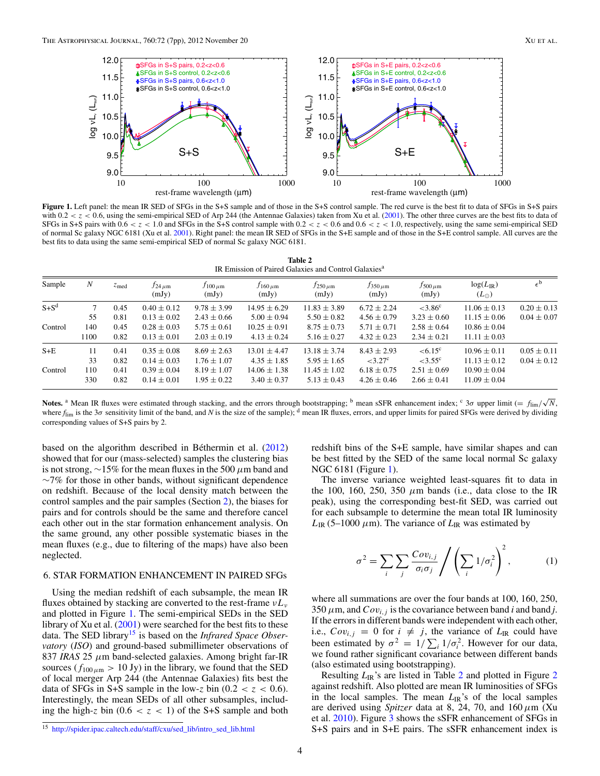<span id="page-3-0"></span>

**Figure 1.** Left panel: the mean IR SED of SFGs in the S+S sample and of those in the S+S control sample. The red curve is the best fit to data of SFGs in S+S pairs with  $0.2 < z < 0.6$ , using the semi-empirical SED of Arp 244 (the Antennae Galaxies) taken from Xu et al. [\(2001\)](#page-6-0). The other three curves are the best fits to data of SFGs in S+S pairs with  $0.6 < z < 1.0$  and SFGs in the S+S control sample with  $0.2 < z < 0.6$  and  $0.6 < z < 1.0$ , respectively, using the same semi-empirical SED of normal Sc galaxy NGC 6181 (Xu et al. [2001\)](#page-6-0). Right panel: the mean IR SED of SFGs in the S+E sample and of those in the S+E control sample. All curves are the best fits to data using the same semi-empirical SED of normal Sc galaxy NGC 6181.

**Table 2** IR Emission of Paired Galaxies and Control Galaxies<sup>a</sup>

| Sample    | N           | $z$ <sub>med</sub> | $f$ 24 $\mu$ m<br>(mJy)            | $f_{100\,\mu\mathrm{m}}$<br>(mJy)  | $f_{160\,\mu\mathrm{m}}$<br>(mJy)   | $f_{250\,\mu\mathrm{m}}$<br>(mJy)   | $f_{350\,\mu\text{m}}$<br>(mJy)      | $f_{500\,\mu\mathrm{m}}$<br>(mJy)     | $log(L_{IR})$<br>$(L_{\odot})$       | $\epsilon^{\rm b}$                 |
|-----------|-------------|--------------------|------------------------------------|------------------------------------|-------------------------------------|-------------------------------------|--------------------------------------|---------------------------------------|--------------------------------------|------------------------------------|
| $S + S^d$ | 55          | 0.45<br>0.81       | $0.40 \pm 0.12$<br>$0.13 \pm 0.02$ | $9.78 \pm 3.99$<br>$2.43 \pm 0.66$ | $14.95 \pm 6.29$<br>$5.00 \pm 0.94$ | $11.83 \pm 3.89$<br>$5.50 \pm 0.82$ | $6.72 \pm 2.24$<br>$4.56 \pm 0.79$   | ${<}3.86^{\circ}$<br>$3.23 \pm 0.60$  | $11.06 \pm 0.13$<br>$11.15 \pm 0.06$ | $0.20 \pm 0.13$<br>$0.04 \pm 0.07$ |
| Control   | 140<br>1100 | 0.45<br>0.82       | $0.28 \pm 0.03$<br>$0.13 \pm 0.01$ | $5.75 \pm 0.61$<br>$2.03 \pm 0.19$ | $10.25 \pm 0.91$<br>$4.13 \pm 0.24$ | $8.75 \pm 0.73$<br>$5.16 \pm 0.27$  | $5.71 \pm 0.71$<br>$4.32 \pm 0.23$   | $2.58 \pm 0.64$<br>$2.34 \pm 0.21$    | $10.86 \pm 0.04$<br>$11.11 \pm 0.03$ |                                    |
| $S+E$     | 11<br>33    | 0.41<br>0.82       | $0.35 \pm 0.08$<br>$0.14 \pm 0.03$ | $8.69 \pm 2.63$<br>$1.76 \pm 1.07$ | $13.01 + 4.47$<br>$4.35 \pm 1.85$   | $13.18 \pm 3.74$<br>$5.95 \pm 1.65$ | $8.43 \pm 2.93$<br>${<}3.27^{\circ}$ | $< 6.15^{\circ}$<br>${<}3.55^{\circ}$ | $10.96 \pm 0.11$<br>$11.13 \pm 0.12$ | $0.05 \pm 0.11$<br>$0.04 \pm 0.12$ |
| Control   | 110<br>330  | 0.41<br>0.82       | $0.39 \pm 0.04$<br>$0.14 \pm 0.01$ | $8.19 \pm 1.07$<br>$1.95 \pm 0.22$ | $14.06 \pm 1.38$<br>$3.40 \pm 0.37$ | $11.45 \pm 1.02$<br>$5.13 \pm 0.43$ | $6.18 \pm 0.75$<br>$4.26 \pm 0.46$   | $2.51 \pm 0.69$<br>$2.66 \pm 0.41$    | $10.90 \pm 0.04$<br>$11.09 \pm 0.04$ |                                    |

**Notes.** <sup>a</sup> Mean IR fluxes were estimated through stacking, and the errors through bootstrapping; <sup>b</sup> mean sSFR enhancement index; <sup>c</sup> 3*σ* upper limit (= *f*<sub>lim</sub>/ $\sqrt{N}$ , where  $f_{\text{lim}}$  is the 3 $\sigma$  sensitivity limit of the band, and *N* is the size of the sample); <sup>d</sup> mean IR fluxes, errors, and upper limits for paired SFGs were derived by dividing corresponding values of S+S pairs by 2.

based on the algorithm described in Béthermin et al.  $(2012)$  $(2012)$ showed that for our (mass-selected) samples the clustering bias is not strong, ∼15% for the mean fluxes in the 500 *μ*m band and  $~\sim$ 7% for those in other bands, without significant dependence on redshift. Because of the local density match between the control samples and the pair samples (Section [2\)](#page-1-0), the biases for pairs and for controls should be the same and therefore cancel each other out in the star formation enhancement analysis. On the same ground, any other possible systematic biases in the mean fluxes (e.g., due to filtering of the maps) have also been neglected.

# 6. STAR FORMATION ENHANCEMENT IN PAIRED SFGs

Using the median redshift of each subsample, the mean IR fluxes obtained by stacking are converted to the rest-frame *νLν* and plotted in Figure 1. The semi-empirical SEDs in the SED library of Xu et al. [\(2001\)](#page-6-0) were searched for the best fits to these data. The SED library<sup>15</sup> is based on the *Infrared Space Observatory* (*ISO*) and ground-based submillimeter observations of 837 *IRAS* 25 *μ*m band-selected galaxies. Among bright far-IR sources ( $f_{100\,\mu\text{m}} > 10 \text{ Jy}$ ) in the library, we found that the SED of local merger Arp 244 (the Antennae Galaxies) fits best the data of SFGs in S+S sample in the low-z bin  $(0.2 < z < 0.6)$ . Interestingly, the mean SEDs of all other subsamples, including the high-*z* bin  $(0.6 < z < 1)$  of the S+S sample and both redshift bins of the S+E sample, have similar shapes and can be best fitted by the SED of the same local normal Sc galaxy NGC 6181 (Figure 1).

The inverse variance weighted least-squares fit to data in the 100, 160, 250, 350  $\mu$ m bands (i.e., data close to the IR peak), using the corresponding best-fit SED, was carried out for each subsample to determine the mean total IR luminosity  $L_{IR}$  (5–1000  $\mu$ m). The variance of  $L_{IR}$  was estimated by

$$
\sigma^2 = \sum_i \sum_j \frac{Cov_{i,j}}{\sigma_i \sigma_j} / \left( \sum_i 1/\sigma_i^2 \right)^2, \tag{1}
$$

where all summations are over the four bands at 100, 160, 250,  $350 \mu m$ , and  $Cov_{i,j}$  is the covariance between band *i* and band *j*. If the errors in different bands were independent with each other, i.e.,  $Cov_{i,j} = 0$  for  $i \neq j$ , the variance of  $L_{IR}$  could have been estimated by  $\sigma^2 = 1/\sum_i 1/\sigma_i^2$ . However for our data, we found rather significant covariance between different bands (also estimated using bootstrapping).

Resulting *L*<sub>IR</sub>'s are listed in Table [2](#page-4-0) and plotted in Figure 2 against redshift. Also plotted are mean IR luminosities of SFGs in the local samples. The mean  $L_{\text{IR}}$ 's of the local samples are derived using *Spitzer* data at 8, 24, 70, and 160*μ*m (Xu et al. [2010\)](#page-6-0). Figure [3](#page-4-0) shows the sSFR enhancement of SFGs in S+S pairs and in S+E pairs. The sSFR enhancement index is

<sup>15</sup> [http://spider.ipac.caltech.edu/staff/cxu/sed\\_lib/intro\\_sed\\_lib.html](http://spider.ipac.caltech.edu/staff/cxu/sed_lib/intro_sed_lib.html)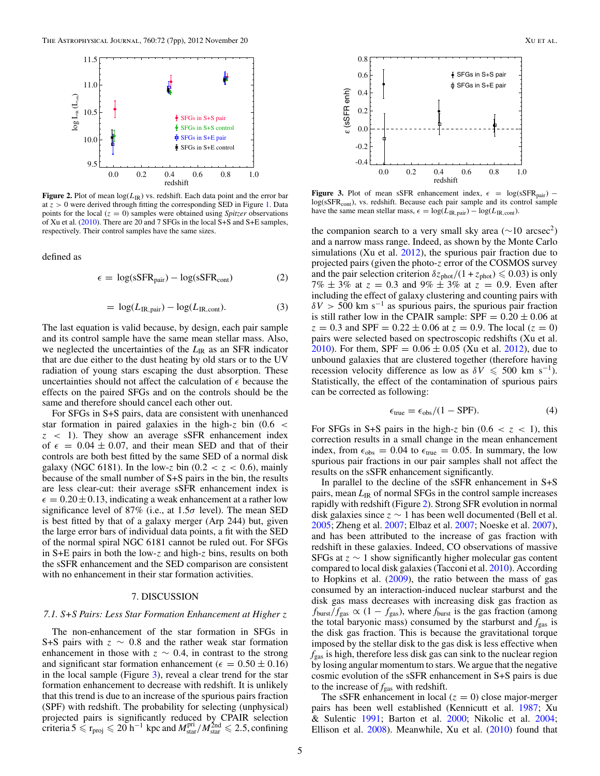<span id="page-4-0"></span>

**Figure 2.** Plot of mean  $log(L_{IR})$  vs. redshift. Each data point and the error bar at  $z > 0$  were derived through fitting the corresponding SED in Figure [1.](#page-3-0) Data points for the local  $(z = 0)$  samples were obtained using *Spitzer* observations of Xu et al. [\(2010\)](#page-6-0). There are 20 and 7 SFGs in the local S+S and S+E samples, respectively. Their control samples have the same sizes.

defined as

$$
\epsilon = \log(\text{sSFR}_{\text{pair}}) - \log(\text{sSFR}_{\text{cont}})
$$
 (2)

$$
= \log(L_{\rm IR, pair}) - \log(L_{\rm IR, cont}). \tag{3}
$$

The last equation is valid because, by design, each pair sample and its control sample have the same mean stellar mass. Also, we neglected the uncertainties of the  $L_{IR}$  as an SFR indicator that are due either to the dust heating by old stars or to the UV radiation of young stars escaping the dust absorption. These uncertainties should not affect the calculation of  $\epsilon$  because the effects on the paired SFGs and on the controls should be the same and therefore should cancel each other out.

For SFGs in S+S pairs, data are consistent with unenhanced star formation in paired galaxies in the high-*z* bin (0*.*6 *< z <* 1). They show an average sSFR enhancement index of  $\epsilon = 0.04 \pm 0.07$ , and their mean SED and that of their controls are both best fitted by the same SED of a normal disk galaxy (NGC 6181). In the low-z bin (0.2  $<$  z  $<$  0.6), mainly because of the small number of S+S pairs in the bin, the results are less clear-cut: their average sSFR enhancement index is  $\epsilon = 0.20 \pm 0.13$ , indicating a weak enhancement at a rather low significance level of 87% (i.e., at 1.5*σ* level). The mean SED is best fitted by that of a galaxy merger (Arp 244) but, given the large error bars of individual data points, a fit with the SED of the normal spiral NGC 6181 cannot be ruled out. For SFGs in S+E pairs in both the low-*z* and high-*z* bins, results on both the sSFR enhancement and the SED comparison are consistent with no enhancement in their star formation activities.

#### 7. DISCUSSION

## *7.1. S+S Pairs: Less Star Formation Enhancement at Higher z*

The non-enhancement of the star formation in SFGs in S+S pairs with *z* ∼ 0*.*8 and the rather weak star formation enhancement in those with  $z \sim 0.4$ , in contrast to the strong and significant star formation enhancement ( $\epsilon = 0.50 \pm 0.16$ ) in the local sample (Figure 3), reveal a clear trend for the star formation enhancement to decrease with redshift. It is unlikely that this trend is due to an increase of the spurious pairs fraction (SPF) with redshift. The probability for selecting (unphysical) projected pairs is significantly reduced by CPAIR selection criteria  $5 \le r_{\text{proj}} \le 20 \text{ h}^{-1}$  kpc and  $M_{\text{star}}^{\text{pri}}/M_{\text{star}}^{\text{2nd}} \le 2.5$ , confining



**Figure 3.** Plot of mean sSFR enhancement index,  $\epsilon$  = log(sSFR<sub>pair</sub>) – log(sSFR<sub>cont</sub>), vs. redshift. Because each pair sample and its control sample have the same mean stellar mass,  $\epsilon = \log(L_{\text{IR, pair}}) - \log(L_{\text{IR, cont}})$ .

the companion search to a very small sky area ( $\sim$ 10 arcsec<sup>2</sup>) and a narrow mass range. Indeed, as shown by the Monte Carlo simulations (Xu et al.  $2012$ ), the spurious pair fraction due to projected pairs (given the photo-*z* error of the COSMOS survey and the pair selection criterion  $\delta z_{phot}/(1 + z_{phot}) \leq 0.03$ ) is only  $7\% \pm 3\%$  at  $z = 0.3$  and  $9\% \pm 3\%$  at  $z = 0.9$ . Even after including the effect of galaxy clustering and counting pairs with  $\delta V$  > 500 km s<sup>-1</sup> as spurious pairs, the spurious pair fraction is still rather low in the CPAIR sample:  $SPF = 0.20 \pm 0.06$  at  $z = 0.3$  and SPF =  $0.22 \pm 0.06$  at  $z = 0.9$ . The local ( $z = 0$ ) pairs were selected based on spectroscopic redshifts (Xu et al. [2010\)](#page-6-0). For them, SPF =  $0.06 \pm 0.05$  (Xu et al. [2012\)](#page-6-0), due to unbound galaxies that are clustered together (therefore having recession velocity difference as low as  $\delta V \leq 500$  km s<sup>-1</sup>). Statistically, the effect of the contamination of spurious pairs can be corrected as following:

$$
\epsilon_{\text{true}} = \epsilon_{\text{obs}}/(1 - \text{SPF}).\tag{4}
$$

For SFGs in S+S pairs in the high-z bin  $(0.6 < z < 1)$ , this correction results in a small change in the mean enhancement index, from  $\epsilon_{obs} = 0.04$  to  $\epsilon_{true} = 0.05$ . In summary, the low spurious pair fractions in our pair samples shall not affect the results on the sSFR enhancement significantly.

In parallel to the decline of the sSFR enhancement in S+S pairs, mean  $L_{IR}$  of normal SFGs in the control sample increases rapidly with redshift (Figure 2). Strong SFR evolution in normal disk galaxies since  $z \sim 1$  has been well documented (Bell et al. [2005;](#page-6-0) Zheng et al. [2007;](#page-6-0) Elbaz et al. [2007;](#page-6-0) Noeske et al. [2007\)](#page-6-0), and has been attributed to the increase of gas fraction with redshift in these galaxies. Indeed, CO observations of massive SFGs at *z* ∼ 1 show significantly higher molecular gas content compared to local disk galaxies (Tacconi et al. [2010\)](#page-6-0). According to Hopkins et al. [\(2009\)](#page-6-0), the ratio between the mass of gas consumed by an interaction-induced nuclear starburst and the disk gas mass decreases with increasing disk gas fraction as  $f_{\text{burst}}/f_{\text{gas}} \propto (1 - f_{\text{gas}})$ , where  $f_{\text{burst}}$  is the gas fraction (among the total baryonic mass) consumed by the starburst and  $f_{\text{gas}}$  is the disk gas fraction. This is because the gravitational torque imposed by the stellar disk to the gas disk is less effective when *f*gas is high, therefore less disk gas can sink to the nuclear region by losing angular momentum to stars. We argue that the negative cosmic evolution of the sSFR enhancement in S+S pairs is due to the increase of  $f_{\text{gas}}$  with redshift.

The sSFR enhancement in local  $(z = 0)$  close major-merger pairs has been well established (Kennicutt et al. [1987;](#page-6-0) Xu & Sulentic [1991;](#page-6-0) Barton et al. [2000;](#page-6-0) Nikolic et al. [2004;](#page-6-0) Ellison et al. [2008\)](#page-6-0). Meanwhile, Xu et al. [\(2010\)](#page-6-0) found that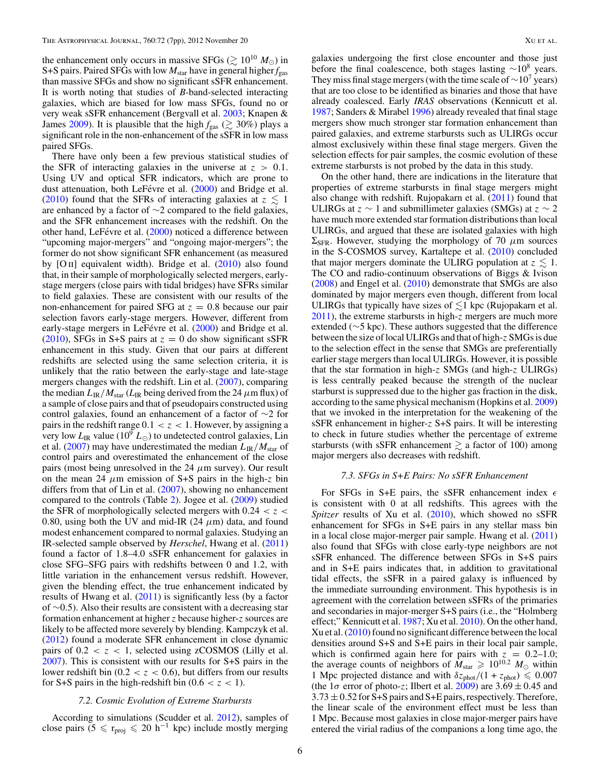the enhancement only occurs in massive SFGs ( $\gtrsim 10^{10} M_{\odot}$ ) in S+S pairs. Paired SFGs with low  $M_{\text{star}}$  have in general higher  $f_{\text{gas}}$ than massive SFGs and show no significant sSFR enhancement. It is worth noting that studies of *B*-band-selected interacting galaxies, which are biased for low mass SFGs, found no or very weak sSFR enhancement (Bergvall et al. [2003;](#page-6-0) Knapen & James [2009\)](#page-6-0). It is plausible that the high  $f_{\text{gas}} \ (\gtrsim 30\%)$  plays a significant role in the non-enhancement of the sSFR in low mass paired SFGs.

There have only been a few previous statistical studies of the SFR of interacting galaxies in the universe at  $z > 0.1$ . Using UV and optical SFR indicators, which are prone to dust attenuation, both LeFévre et al. ([2000\)](#page-6-0) and Bridge et al. [\(2010\)](#page-6-0) found that the SFRs of interacting galaxies at  $z \leq 1$ are enhanced by a factor of ∼2 compared to the field galaxies, and the SFR enhancement increases with the redshift. On the other hand, LeFévre et al.  $(2000)$  $(2000)$  noticed a difference between "upcoming major-mergers" and "ongoing major-mergers"; the former do not show significant SFR enhancement (as measured by  $[O II]$  equivalent width). Bridge et al.  $(2010)$  also found that, in their sample of morphologically selected mergers, earlystage mergers (close pairs with tidal bridges) have SFRs similar to field galaxies. These are consistent with our results of the non-enhancement for paired SFG at  $z = 0.8$  because our pair selection favors early-stage mergers. However, different from early-stage mergers in LeFévre et al. ([2000\)](#page-6-0) and Bridge et al. [\(2010\)](#page-6-0), SFGs in S+S pairs at  $z = 0$  do show significant sSFR enhancement in this study. Given that our pairs at different redshifts are selected using the same selection criteria, it is unlikely that the ratio between the early-stage and late-stage mergers changes with the redshift. Lin et al. [\(2007\)](#page-6-0), comparing the median  $L_{\rm IR}/M_{\rm star}$  ( $L_{\rm IR}$  being derived from the 24  $\mu$ m flux) of a sample of close pairs and that of pseudopairs constructed using control galaxies, found an enhancement of a factor of ∼2 for pairs in the redshift range  $0.1 < z < 1$ . However, by assigning a very low  $L_{IR}$  value (10<sup>9</sup>  $L_{\odot}$ ) to undetected control galaxies, Lin et al. [\(2007\)](#page-6-0) may have underestimated the median  $L_{IR}/M_{star}$  of control pairs and overestimated the enhancement of the close pairs (most being unresolved in the 24  $\mu$ m survey). Our result on the mean 24  $\mu$ m emission of S+S pairs in the high-*z* bin differs from that of Lin et al. [\(2007\)](#page-6-0), showing no enhancement compared to the controls (Table [2\)](#page-3-0). Jogee et al. [\(2009\)](#page-6-0) studied the SFR of morphologically selected mergers with  $0.24 < z <$ 0.80, using both the UV and mid-IR  $(24 \mu m)$  data, and found modest enhancement compared to normal galaxies. Studying an IR-selected sample observed by *Herschel*, Hwang et al. [\(2011\)](#page-6-0) found a factor of 1.8–4.0 sSFR enhancement for galaxies in close SFG–SFG pairs with redshifts between 0 and 1.2, with little variation in the enhancement versus redshift. However, given the blending effect, the true enhancement indicated by results of Hwang et al. [\(2011\)](#page-6-0) is significantly less (by a factor of ∼0*.*5). Also their results are consistent with a decreasing star formation enhancement at higher *z* because higher-*z* sources are likely to be affected more severely by blending. Kampczyk et al. [\(2012\)](#page-6-0) found a moderate SFR enhancement in close dynamic pairs of  $0.2 < z < 1$ , selected using zCOSMOS (Lilly et al. [2007\)](#page-6-0). This is consistent with our results for S+S pairs in the lower redshift bin  $(0.2 < z < 0.6)$ , but differs from our results for S+S pairs in the high-redshift bin  $(0.6 < z < 1)$ .

### *7.2. Cosmic Evolution of Extreme Starbursts*

According to simulations (Scudder et al. [2012\)](#page-6-0), samples of close pairs (5  $\leq$  r<sub>proj</sub>  $\leq$  20 h<sup>-1</sup> kpc) include mostly merging

galaxies undergoing the first close encounter and those just before the final coalescence, both stages lasting  $\sim$ 10<sup>8</sup> years. They miss final stage mergers (with the time scale of  $\sim$ 10<sup>7</sup> years) that are too close to be identified as binaries and those that have already coalesced. Early *IRAS* observations (Kennicutt et al. [1987;](#page-6-0) Sanders & Mirabel [1996\)](#page-6-0) already revealed that final stage mergers show much stronger star formation enhancement than paired galaxies, and extreme starbursts such as ULIRGs occur almost exclusively within these final stage mergers. Given the selection effects for pair samples, the cosmic evolution of these extreme starbursts is not probed by the data in this study.

On the other hand, there are indications in the literature that properties of extreme starbursts in final stage mergers might also change with redshift. Rujopakarn et al. [\(2011\)](#page-6-0) found that ULIRGs at  $z \sim 1$  and submillimeter galaxies (SMGs) at  $z \sim 2$ have much more extended star formation distributions than local ULIRGs, and argued that these are isolated galaxies with high  $\Sigma_{\rm SFR}$ . However, studying the morphology of 70  $\mu$ m sources in the S-COSMOS survey, Kartaltepe et al. [\(2010\)](#page-6-0) concluded that major mergers dominate the ULIRG population at  $z \lesssim 1$ . The CO and radio-continuum observations of Biggs & Ivison [\(2008\)](#page-6-0) and Engel et al. [\(2010\)](#page-6-0) demonstrate that SMGs are also dominated by major mergers even though, different from local ULIRGs that typically have sizes of  $\lesssim$ 1 kpc (Rujopakarn et al. [2011\)](#page-6-0), the extreme starbursts in high-*z* mergers are much more extended (∼5 kpc). These authors suggested that the difference between the size of local ULIRGs and that of high-*z* SMGs is due to the selection effect in the sense that SMGs are preferentially earlier stage mergers than local ULIRGs. However, it is possible that the star formation in high-*z* SMGs (and high-*z* ULIRGs) is less centrally peaked because the strength of the nuclear starburst is suppressed due to the higher gas fraction in the disk, according to the same physical mechanism (Hopkins et al. [2009\)](#page-6-0) that we invoked in the interpretation for the weakening of the sSFR enhancement in higher-*z* S+S pairs. It will be interesting to check in future studies whether the percentage of extreme starbursts (with sSFR enhancement  $\geq$  a factor of 100) among major mergers also decreases with redshift.

#### *7.3. SFGs in S+E Pairs: No sSFR Enhancement*

For SFGs in S+E pairs, the sSFR enhancement index  $\epsilon$ is consistent with 0 at all redshifts. This agrees with the *Spitzer* results of Xu et al. [\(2010\)](#page-6-0), which showed no sSFR enhancement for SFGs in S+E pairs in any stellar mass bin in a local close major-merger pair sample. Hwang et al. [\(2011\)](#page-6-0) also found that SFGs with close early-type neighbors are not sSFR enhanced. The difference between SFGs in S+S pairs and in S+E pairs indicates that, in addition to gravitational tidal effects, the sSFR in a paired galaxy is influenced by the immediate surrounding environment. This hypothesis is in agreement with the correlation between sSFRs of the primaries and secondaries in major-merger S+S pairs (i.e., the "Holmberg effect;" Kennicutt et al. [1987;](#page-6-0) Xu et al. [2010\)](#page-6-0). On the other hand, Xu et al. [\(2010\)](#page-6-0) found no significant difference between the local densities around S+S and S+E pairs in their local pair sample, which is confirmed again here for pairs with  $z = 0.2{\text -}1.0$ ; the average counts of neighbors of  $M_{\text{star}} \ge 10^{10.2} M_{\odot}$  within 1 Mpc projected distance and with  $\delta z_{\text{phot}}/(1 + z_{\text{phot}}) \leq 0.007$ (the  $1\sigma$  error of photo-*z*; Ilbert et al. [2009\)](#page-6-0) are  $3.69 \pm 0.45$  and 3*.*73 ± 0*.*52 for S+S pairs and S+E pairs, respectively. Therefore, the linear scale of the environment effect must be less than 1 Mpc. Because most galaxies in close major-merger pairs have entered the virial radius of the companions a long time ago, the